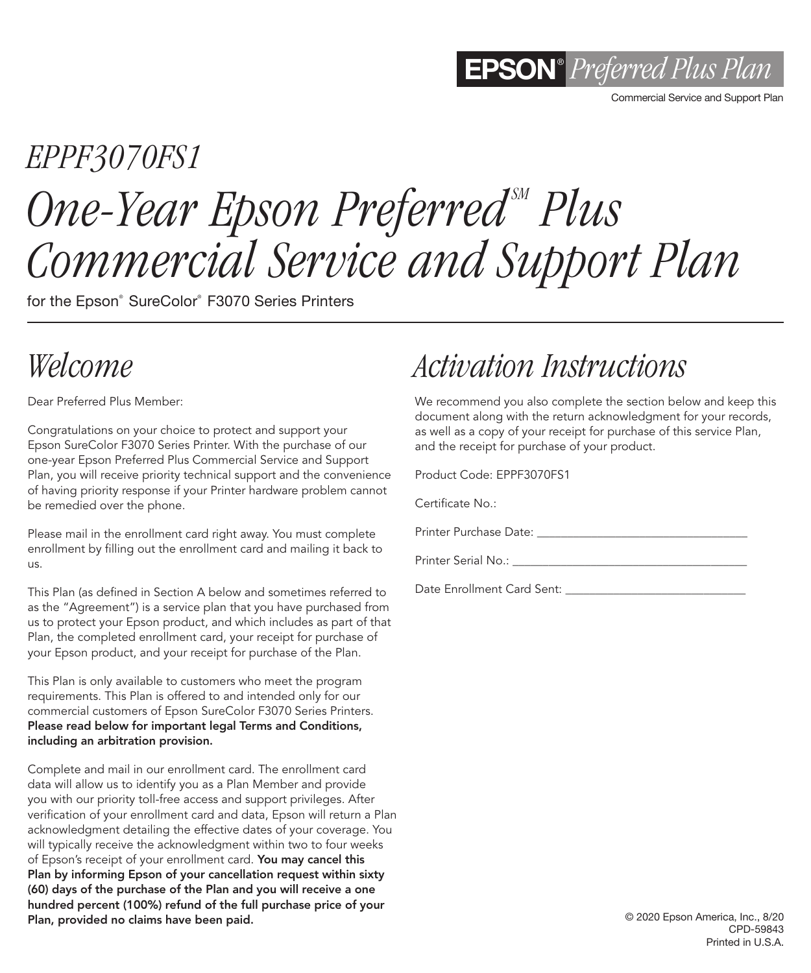

Commercial Service and Support Plan

# *EPPF3070FS1* **One-Year Epson Preferred<sup>SM</sup> Plus** *Commercial Service and Support Plan*

for the Epson® SureColor® F3070 Series Printers

# *Welcome*

Dear Preferred Plus Member:

Congratulations on your choice to protect and support your Epson SureColor F3070 Series Printer. With the purchase of our one-year Epson Preferred Plus Commercial Service and Support Plan, you will receive priority technical support and the convenience of having priority response if your Printer hardware problem cannot be remedied over the phone.

Please mail in the enrollment card right away. You must complete enrollment by filling out the enrollment card and mailing it back to us.

This Plan (as defined in Section A below and sometimes referred to as the "Agreement") is a service plan that you have purchased from us to protect your Epson product, and which includes as part of that Plan, the completed enrollment card, your receipt for purchase of your Epson product, and your receipt for purchase of the Plan.

This Plan is only available to customers who meet the program requirements. This Plan is offered to and intended only for our commercial customers of Epson SureColor F3070 Series Printers. Please read below for important legal Terms and Conditions, including an arbitration provision.

Complete and mail in our enrollment card. The enrollment card data will allow us to identify you as a Plan Member and provide you with our priority toll-free access and support privileges. After verification of your enrollment card and data, Epson will return a Plan acknowledgment detailing the effective dates of your coverage. You will typically receive the acknowledgment within two to four weeks of Epson's receipt of your enrollment card. You may cancel this Plan by informing Epson of your cancellation request within sixty (60) days of the purchase of the Plan and you will receive a one hundred percent (100%) refund of the full purchase price of your Plan, provided no claims have been paid.

# *Activation Instructions*

We recommend you also complete the section below and keep this document along with the return acknowledgment for your records, as well as a copy of your receipt for purchase of this service Plan, and the receipt for purchase of your product.

Product Code: EPPF3070FS1

Certificate No.:

Printer Purchase Date:

Printer Serial No.:

Date Enrollment Card Sent: \_\_\_\_\_\_\_\_\_\_\_\_\_\_\_\_\_\_\_\_\_\_\_\_\_\_\_\_\_\_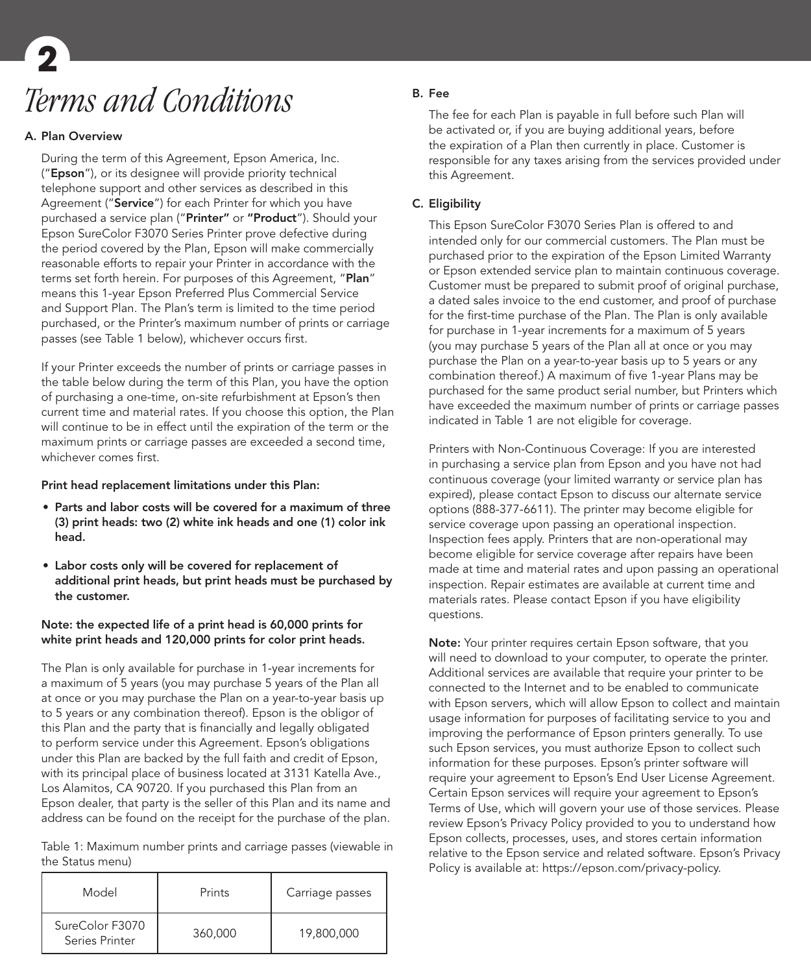# *Terms and Conditions* **2**

### A. Plan Overview

During the term of this Agreement, Epson America, Inc. ("Epson"), or its designee will provide priority technical telephone support and other services as described in this Agreement ("Service") for each Printer for which you have purchased a service plan ("Printer" or "Product"). Should your Epson SureColor F3070 Series Printer prove defective during the period covered by the Plan, Epson will make commercially reasonable efforts to repair your Printer in accordance with the terms set forth herein. For purposes of this Agreement, "Plan" means this 1-year Epson Preferred Plus Commercial Service and Support Plan. The Plan's term is limited to the time period purchased, or the Printer's maximum number of prints or carriage passes (see Table 1 below), whichever occurs first.

If your Printer exceeds the number of prints or carriage passes in the table below during the term of this Plan, you have the option of purchasing a one-time, on-site refurbishment at Epson's then current time and material rates. If you choose this option, the Plan will continue to be in effect until the expiration of the term or the maximum prints or carriage passes are exceeded a second time, whichever comes first.

### Print head replacement limitations under this Plan:

- Parts and labor costs will be covered for a maximum of three (3) print heads: two (2) white ink heads and one (1) color ink head.
- Labor costs only will be covered for replacement of additional print heads, but print heads must be purchased by the customer.

# Note: the expected life of a print head is 60,000 prints for white print heads and 120,000 prints for color print heads.

The Plan is only available for purchase in 1-year increments for a maximum of 5 years (you may purchase 5 years of the Plan all at once or you may purchase the Plan on a year-to-year basis up to 5 years or any combination thereof). Epson is the obligor of this Plan and the party that is financially and legally obligated to perform service under this Agreement. Epson's obligations under this Plan are backed by the full faith and credit of Epson, with its principal place of business located at 3131 Katella Ave., Los Alamitos, CA 90720. If you purchased this Plan from an Epson dealer, that party is the seller of this Plan and its name and address can be found on the receipt for the purchase of the plan.

Table 1: Maximum number prints and carriage passes (viewable in the Status menu)

| Model                             | Prints  | Carriage passes |
|-----------------------------------|---------|-----------------|
| SureColor F3070<br>Series Printer | 360,000 | 19,800,000      |

# B. Fee

The fee for each Plan is payable in full before such Plan will be activated or, if you are buying additional years, before the expiration of a Plan then currently in place. Customer is responsible for any taxes arising from the services provided under this Agreement.

# C. Eligibility

This Epson SureColor F3070 Series Plan is offered to and intended only for our commercial customers. The Plan must be purchased prior to the expiration of the Epson Limited Warranty or Epson extended service plan to maintain continuous coverage. Customer must be prepared to submit proof of original purchase, a dated sales invoice to the end customer, and proof of purchase for the first-time purchase of the Plan. The Plan is only available for purchase in 1-year increments for a maximum of 5 years (you may purchase 5 years of the Plan all at once or you may purchase the Plan on a year-to-year basis up to 5 years or any combination thereof.) A maximum of five 1-year Plans may be purchased for the same product serial number, but Printers which have exceeded the maximum number of prints or carriage passes indicated in Table 1 are not eligible for coverage.

Printers with Non-Continuous Coverage: If you are interested in purchasing a service plan from Epson and you have not had continuous coverage (your limited warranty or service plan has expired), please contact Epson to discuss our alternate service options (888-377-6611). The printer may become eligible for service coverage upon passing an operational inspection. Inspection fees apply. Printers that are non-operational may become eligible for service coverage after repairs have been made at time and material rates and upon passing an operational inspection. Repair estimates are available at current time and materials rates. Please contact Epson if you have eligibility questions.

Note: Your printer requires certain Epson software, that you will need to download to your computer, to operate the printer. Additional services are available that require your printer to be connected to the Internet and to be enabled to communicate with Epson servers, which will allow Epson to collect and maintain usage information for purposes of facilitating service to you and improving the performance of Epson printers generally. To use such Epson services, you must authorize Epson to collect such information for these purposes. Epson's printer software will require your agreement to Epson's End User License Agreement. Certain Epson services will require your agreement to Epson's Terms of Use, which will govern your use of those services. Please review Epson's Privacy Policy provided to you to understand how Epson collects, processes, uses, and stores certain information relative to the Epson service and related software. Epson's Privacy Policy is available at: https://epson.com/privacy-policy.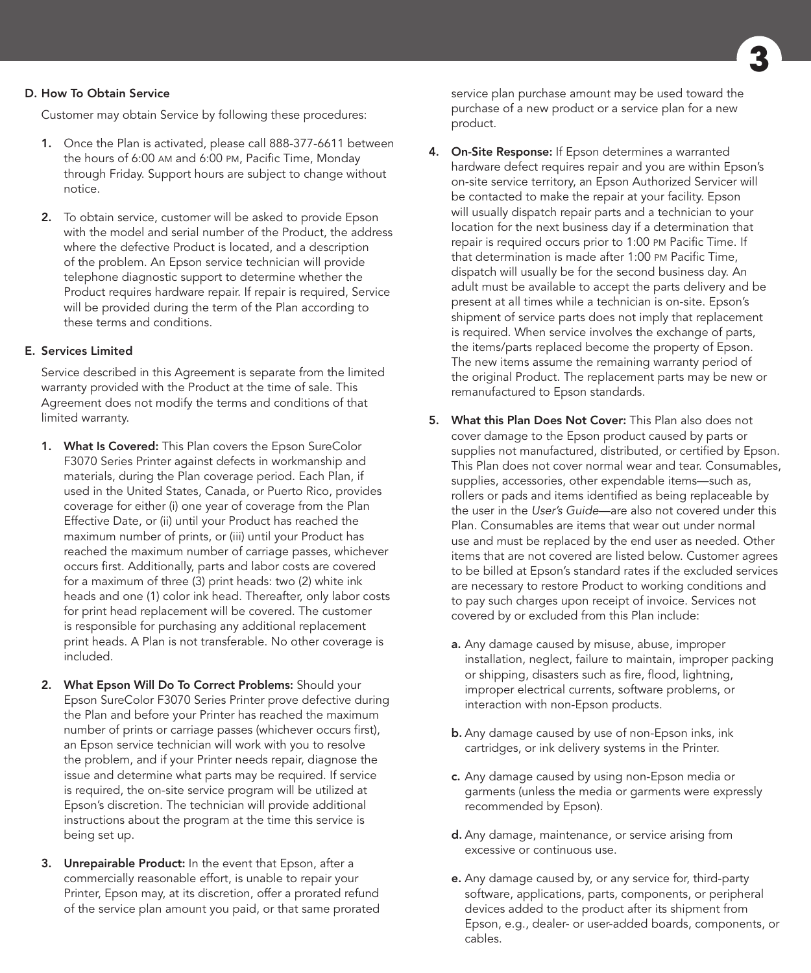# D. How To Obtain Service

Customer may obtain Service by following these procedures:

- 1. Once the Plan is activated, please call 888-377-6611 between the hours of 6:00 am and 6:00 pm, Pacific Time, Monday through Friday. Support hours are subject to change without notice.
- 2. To obtain service, customer will be asked to provide Epson with the model and serial number of the Product, the address where the defective Product is located, and a description of the problem. An Epson service technician will provide telephone diagnostic support to determine whether the Product requires hardware repair. If repair is required, Service will be provided during the term of the Plan according to these terms and conditions.

### E. Services Limited

Service described in this Agreement is separate from the limited warranty provided with the Product at the time of sale. This Agreement does not modify the terms and conditions of that limited warranty.

- 1. What Is Covered: This Plan covers the Epson SureColor F3070 Series Printer against defects in workmanship and materials, during the Plan coverage period. Each Plan, if used in the United States, Canada, or Puerto Rico, provides coverage for either (i) one year of coverage from the Plan Effective Date, or (ii) until your Product has reached the maximum number of prints, or (iii) until your Product has reached the maximum number of carriage passes, whichever occurs first. Additionally, parts and labor costs are covered for a maximum of three (3) print heads: two (2) white ink heads and one (1) color ink head. Thereafter, only labor costs for print head replacement will be covered. The customer is responsible for purchasing any additional replacement print heads. A Plan is not transferable. No other coverage is included.
- 2. What Epson Will Do To Correct Problems: Should your Epson SureColor F3070 Series Printer prove defective during the Plan and before your Printer has reached the maximum number of prints or carriage passes (whichever occurs first), an Epson service technician will work with you to resolve the problem, and if your Printer needs repair, diagnose the issue and determine what parts may be required. If service is required, the on-site service program will be utilized at Epson's discretion. The technician will provide additional instructions about the program at the time this service is being set up.
- 3. Unrepairable Product: In the event that Epson, after a commercially reasonable effort, is unable to repair your Printer, Epson may, at its discretion, offer a prorated refund of the service plan amount you paid, or that same prorated

service plan purchase amount may be used toward the purchase of a new product or a service plan for a new product.

- 4. On-Site Response: If Epson determines a warranted hardware defect requires repair and you are within Epson's on-site service territory, an Epson Authorized Servicer will be contacted to make the repair at your facility. Epson will usually dispatch repair parts and a technician to your location for the next business day if a determination that repair is required occurs prior to 1:00 pm Pacific Time. If that determination is made after 1:00 pm Pacific Time, dispatch will usually be for the second business day. An adult must be available to accept the parts delivery and be present at all times while a technician is on-site. Epson's shipment of service parts does not imply that replacement is required. When service involves the exchange of parts, the items/parts replaced become the property of Epson. The new items assume the remaining warranty period of the original Product. The replacement parts may be new or remanufactured to Epson standards.
- 5. What this Plan Does Not Cover: This Plan also does not cover damage to the Epson product caused by parts or supplies not manufactured, distributed, or certified by Epson. This Plan does not cover normal wear and tear. Consumables, supplies, accessories, other expendable items—such as, rollers or pads and items identified as being replaceable by the user in the *User's Guide*—are also not covered under this Plan. Consumables are items that wear out under normal use and must be replaced by the end user as needed. Other items that are not covered are listed below. Customer agrees to be billed at Epson's standard rates if the excluded services are necessary to restore Product to working conditions and to pay such charges upon receipt of invoice. Services not covered by or excluded from this Plan include:
	- a. Any damage caused by misuse, abuse, improper installation, neglect, failure to maintain, improper packing or shipping, disasters such as fire, flood, lightning, improper electrical currents, software problems, or interaction with non-Epson products.
	- **b.** Any damage caused by use of non-Epson inks, ink cartridges, or ink delivery systems in the Printer.
	- c. Any damage caused by using non-Epson media or garments (unless the media or garments were expressly recommended by Epson).
	- d. Any damage, maintenance, or service arising from excessive or continuous use.
	- e. Any damage caused by, or any service for, third-party software, applications, parts, components, or peripheral devices added to the product after its shipment from Epson, e.g., dealer- or user-added boards, components, or cables.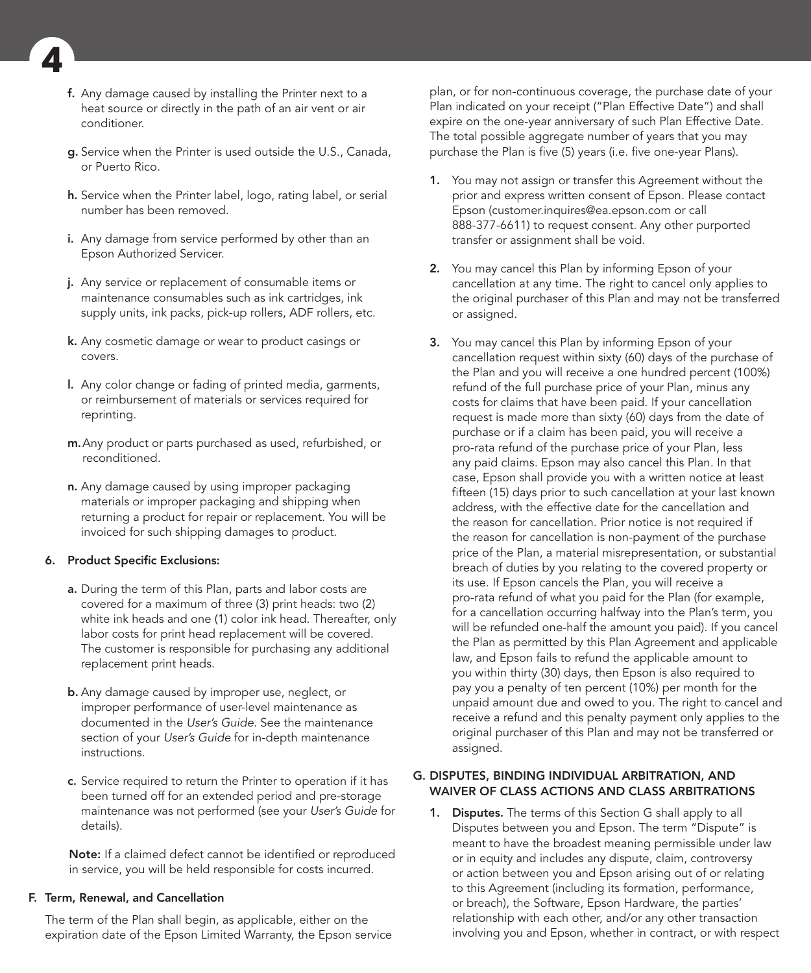

- f. Any damage caused by installing the Printer next to a heat source or directly in the path of an air vent or air conditioner.
- g. Service when the Printer is used outside the U.S., Canada, or Puerto Rico.
- h. Service when the Printer label, logo, rating label, or serial number has been removed.
- i. Any damage from service performed by other than an Epson Authorized Servicer.
- j. Any service or replacement of consumable items or maintenance consumables such as ink cartridges, ink supply units, ink packs, pick-up rollers, ADF rollers, etc.
- k. Any cosmetic damage or wear to product casings or covers.
- l. Any color change or fading of printed media, garments, or reimbursement of materials or services required for reprinting.
- m.Any product or parts purchased as used, refurbished, or reconditioned.
- n. Any damage caused by using improper packaging materials or improper packaging and shipping when returning a product for repair or replacement. You will be invoiced for such shipping damages to product.

### 6. Product Specific Exclusions:

- a. During the term of this Plan, parts and labor costs are covered for a maximum of three (3) print heads: two (2) white ink heads and one (1) color ink head. Thereafter, only labor costs for print head replacement will be covered. The customer is responsible for purchasing any additional replacement print heads.
- b. Any damage caused by improper use, neglect, or improper performance of user-level maintenance as documented in the *User's Guide*. See the maintenance section of your *User's Guide* for in-depth maintenance instructions.
- c. Service required to return the Printer to operation if it has been turned off for an extended period and pre-storage maintenance was not performed (see your *User's Guide* for details).

Note: If a claimed defect cannot be identified or reproduced in service, you will be held responsible for costs incurred.

### F. Term, Renewal, and Cancellation

The term of the Plan shall begin, as applicable, either on the expiration date of the Epson Limited Warranty, the Epson service plan, or for non-continuous coverage, the purchase date of your Plan indicated on your receipt ("Plan Effective Date") and shall expire on the one-year anniversary of such Plan Effective Date. The total possible aggregate number of years that you may purchase the Plan is five (5) years (i.e. five one-year Plans).

- 1. You may not assign or transfer this Agreement without the prior and express written consent of Epson. Please contact Epson (customer.inquires@ea.epson.com or call 888-377-6611) to request consent. Any other purported transfer or assignment shall be void.
- 2. You may cancel this Plan by informing Epson of your cancellation at any time. The right to cancel only applies to the original purchaser of this Plan and may not be transferred or assigned.
- 3. You may cancel this Plan by informing Epson of your cancellation request within sixty (60) days of the purchase of the Plan and you will receive a one hundred percent (100%) refund of the full purchase price of your Plan, minus any costs for claims that have been paid. If your cancellation request is made more than sixty (60) days from the date of purchase or if a claim has been paid, you will receive a pro-rata refund of the purchase price of your Plan, less any paid claims. Epson may also cancel this Plan. In that case, Epson shall provide you with a written notice at least fifteen (15) days prior to such cancellation at your last known address, with the effective date for the cancellation and the reason for cancellation. Prior notice is not required if the reason for cancellation is non-payment of the purchase price of the Plan, a material misrepresentation, or substantial breach of duties by you relating to the covered property or its use. If Epson cancels the Plan, you will receive a pro-rata refund of what you paid for the Plan (for example, for a cancellation occurring halfway into the Plan's term, you will be refunded one-half the amount you paid). If you cancel the Plan as permitted by this Plan Agreement and applicable law, and Epson fails to refund the applicable amount to you within thirty (30) days, then Epson is also required to pay you a penalty of ten percent (10%) per month for the unpaid amount due and owed to you. The right to cancel and receive a refund and this penalty payment only applies to the original purchaser of this Plan and may not be transferred or assigned.

### G. DISPUTES, BINDING INDIVIDUAL ARBITRATION, AND WAIVER OF CLASS ACTIONS AND CLASS ARBITRATIONS

1. Disputes. The terms of this Section G shall apply to all Disputes between you and Epson. The term "Dispute" is meant to have the broadest meaning permissible under law or in equity and includes any dispute, claim, controversy or action between you and Epson arising out of or relating to this Agreement (including its formation, performance, or breach), the Software, Epson Hardware, the parties' relationship with each other, and/or any other transaction involving you and Epson, whether in contract, or with respect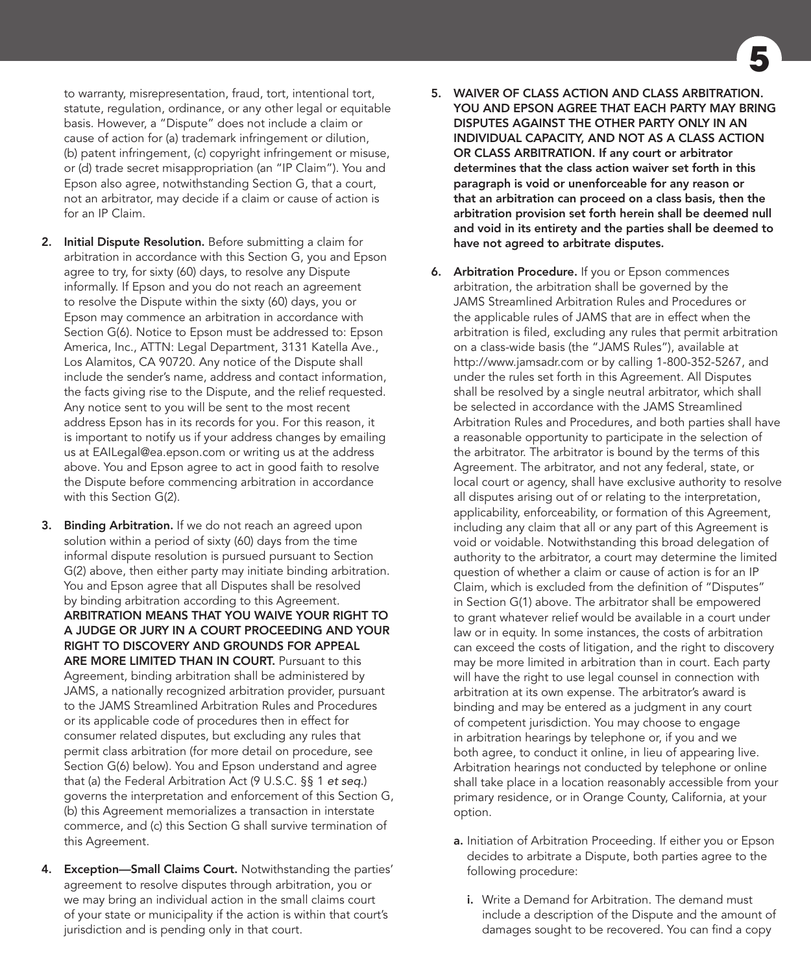to warranty, misrepresentation, fraud, tort, intentional tort, statute, regulation, ordinance, or any other legal or equitable basis. However, a "Dispute" does not include a claim or cause of action for (a) trademark infringement or dilution, (b) patent infringement, (c) copyright infringement or misuse, or (d) trade secret misappropriation (an "IP Claim"). You and Epson also agree, notwithstanding Section G, that a court, not an arbitrator, may decide if a claim or cause of action is for an IP Claim.

- 2. Initial Dispute Resolution. Before submitting a claim for arbitration in accordance with this Section G, you and Epson agree to try, for sixty (60) days, to resolve any Dispute informally. If Epson and you do not reach an agreement to resolve the Dispute within the sixty (60) days, you or Epson may commence an arbitration in accordance with Section G(6). Notice to Epson must be addressed to: Epson America, Inc., ATTN: Legal Department, 3131 Katella Ave., Los Alamitos, CA 90720. Any notice of the Dispute shall include the sender's name, address and contact information, the facts giving rise to the Dispute, and the relief requested. Any notice sent to you will be sent to the most recent address Epson has in its records for you. For this reason, it is important to notify us if your address changes by emailing us at EAILegal@ea.epson.com or writing us at the address above. You and Epson agree to act in good faith to resolve the Dispute before commencing arbitration in accordance with this Section G(2).
- 3. Binding Arbitration. If we do not reach an agreed upon solution within a period of sixty (60) days from the time informal dispute resolution is pursued pursuant to Section G(2) above, then either party may initiate binding arbitration. You and Epson agree that all Disputes shall be resolved by binding arbitration according to this Agreement. ARBITRATION MEANS THAT YOU WAIVE YOUR RIGHT TO A JUDGE OR JURY IN A COURT PROCEEDING AND YOUR RIGHT TO DISCOVERY AND GROUNDS FOR APPEAL ARE MORE LIMITED THAN IN COURT. Pursuant to this Agreement, binding arbitration shall be administered by JAMS, a nationally recognized arbitration provider, pursuant to the JAMS Streamlined Arbitration Rules and Procedures or its applicable code of procedures then in effect for consumer related disputes, but excluding any rules that permit class arbitration (for more detail on procedure, see Section G(6) below). You and Epson understand and agree that (a) the Federal Arbitration Act (9 U.S.C. §§ 1 *et seq.*) governs the interpretation and enforcement of this Section G, (b) this Agreement memorializes a transaction in interstate commerce, and (c) this Section G shall survive termination of this Agreement.
- 4. Exception-Small Claims Court. Notwithstanding the parties' agreement to resolve disputes through arbitration, you or we may bring an individual action in the small claims court of your state or municipality if the action is within that court's jurisdiction and is pending only in that court.
- 5. WAIVER OF CLASS ACTION AND CLASS ARBITRATION. YOU AND EPSON AGREE THAT EACH PARTY MAY BRING DISPUTES AGAINST THE OTHER PARTY ONLY IN AN INDIVIDUAL CAPACITY, AND NOT AS A CLASS ACTION OR CLASS ARBITRATION. If any court or arbitrator determines that the class action waiver set forth in this paragraph is void or unenforceable for any reason or that an arbitration can proceed on a class basis, then the arbitration provision set forth herein shall be deemed null and void in its entirety and the parties shall be deemed to have not agreed to arbitrate disputes.
- **6.** Arbitration Procedure. If you or Epson commences arbitration, the arbitration shall be governed by the JAMS Streamlined Arbitration Rules and Procedures or the applicable rules of JAMS that are in effect when the arbitration is filed, excluding any rules that permit arbitration on a class-wide basis (the "JAMS Rules"), available at http://www.jamsadr.com or by calling 1-800-352-5267, and under the rules set forth in this Agreement. All Disputes shall be resolved by a single neutral arbitrator, which shall be selected in accordance with the JAMS Streamlined Arbitration Rules and Procedures, and both parties shall have a reasonable opportunity to participate in the selection of the arbitrator. The arbitrator is bound by the terms of this Agreement. The arbitrator, and not any federal, state, or local court or agency, shall have exclusive authority to resolve all disputes arising out of or relating to the interpretation, applicability, enforceability, or formation of this Agreement, including any claim that all or any part of this Agreement is void or voidable. Notwithstanding this broad delegation of authority to the arbitrator, a court may determine the limited question of whether a claim or cause of action is for an IP Claim, which is excluded from the definition of "Disputes" in Section G(1) above. The arbitrator shall be empowered to grant whatever relief would be available in a court under law or in equity. In some instances, the costs of arbitration can exceed the costs of litigation, and the right to discovery may be more limited in arbitration than in court. Each party will have the right to use legal counsel in connection with arbitration at its own expense. The arbitrator's award is binding and may be entered as a judgment in any court of competent jurisdiction. You may choose to engage in arbitration hearings by telephone or, if you and we both agree, to conduct it online, in lieu of appearing live. Arbitration hearings not conducted by telephone or online shall take place in a location reasonably accessible from your primary residence, or in Orange County, California, at your option.
	- a. Initiation of Arbitration Proceeding. If either you or Epson decides to arbitrate a Dispute, both parties agree to the following procedure:
		- i. Write a Demand for Arbitration. The demand must include a description of the Dispute and the amount of damages sought to be recovered. You can find a copy